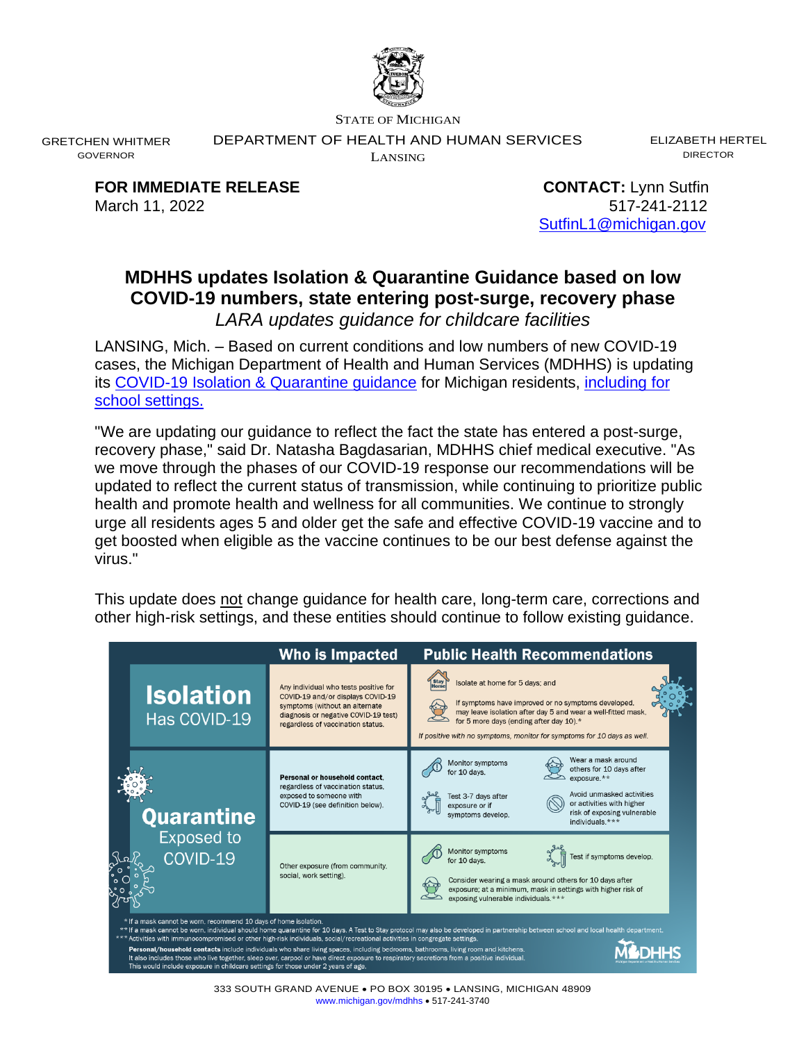

STATE OF MICHIGAN

DEPARTMENT OF HEALTH AND HUMAN SERVICES

LANSING

ELIZABETH HERTEL DIRECTOR

**FOR IMMEDIATE RELEASE CONTACT:** Lynn Sutfin March 11, 2022 517-241-2112

GRETCHEN WHITMER GOVERNOR

[SutfinL1@michigan.gov](mailto:SutfinL1@michigan.gov)

# **MDHHS updates Isolation & Quarantine Guidance based on low COVID-19 numbers, state entering post-surge, recovery phase** *LARA updates guidance for childcare facilities*

LANSING, Mich. – Based on current conditions and low numbers of new COVID-19 cases, the Michigan Department of Health and Human Services (MDHHS) is updating its [COVID-19 Isolation & Quarantine guidance](https://www.michigan.gov/documents/coronavirus/MDHHS_IQ_Guidance_-_Recovery_Phase_3.7.22_749780_7.pdf) for Michigan residents, [including](https://www.michigan.gov/documents/coronavirus/MI_Safer_Schools_Guidance_for_Managing_Students_Exposed_to_COVID-19_734750_7.pdf) for [school settings.](https://www.michigan.gov/documents/coronavirus/MI_Safer_Schools_Guidance_for_Managing_Students_Exposed_to_COVID-19_734750_7.pdf)

"We are updating our guidance to reflect the fact the state has entered a post-surge, recovery phase," said Dr. Natasha Bagdasarian, MDHHS chief medical executive. "As we move through the phases of our COVID-19 response our recommendations will be updated to reflect the current status of transmission, while continuing to prioritize public health and promote health and wellness for all communities. We continue to strongly urge all residents ages 5 and older get the safe and effective COVID-19 vaccine and to get boosted when eligible as the vaccine continues to be our best defense against the virus."

This update does not change guidance for health care, long-term care, corrections and other high-risk settings, and these entities should continue to follow existing guidance.

|                                                                                                                                                                                                                                                                                                                                                                                                                                                                                                                                                                                                                                                                                                                                                               | <b>Who is Impacted</b>                                                                                                                                                                    | <b>Public Health Recommendations</b>                                                                                                                                                                                                                                          |
|---------------------------------------------------------------------------------------------------------------------------------------------------------------------------------------------------------------------------------------------------------------------------------------------------------------------------------------------------------------------------------------------------------------------------------------------------------------------------------------------------------------------------------------------------------------------------------------------------------------------------------------------------------------------------------------------------------------------------------------------------------------|-------------------------------------------------------------------------------------------------------------------------------------------------------------------------------------------|-------------------------------------------------------------------------------------------------------------------------------------------------------------------------------------------------------------------------------------------------------------------------------|
| <b>Isolation</b><br>Has COVID-19                                                                                                                                                                                                                                                                                                                                                                                                                                                                                                                                                                                                                                                                                                                              | Any individual who tests positive for<br>COVID-19 and/or displays COVID-19<br>symptoms (without an alternate<br>diagnosis or negative COVID-19 test)<br>regardless of vaccination status. | Isolate at home for 5 days; and<br>If symptoms have improved or no symptoms developed.<br>may leave isolation after day 5 and wear a well-fitted mask,<br>for 5 more days (ending after day 10).*<br>If positive with no symptoms, monitor for symptoms for 10 days as well.  |
| Quarantine<br><b>Exposed to</b><br>COVID-19                                                                                                                                                                                                                                                                                                                                                                                                                                                                                                                                                                                                                                                                                                                   | Personal or household contact.<br>regardless of vaccination status.<br>exposed to someone with<br>COVID-19 (see definition below).                                                        | Wear a mask around<br>Monitor symptoms<br>others for 10 days after<br>for 10 days.<br>$exposure.**$<br>Avoid unmasked activities<br>Test 3-7 days after<br>or activities with higher<br>exposure or if<br>risk of exposing vulnerable<br>symptoms develop.<br>individuals.*** |
|                                                                                                                                                                                                                                                                                                                                                                                                                                                                                                                                                                                                                                                                                                                                                               | Other exposure (from community,<br>social, work setting).                                                                                                                                 | Monitor symptoms<br>Test if symptoms develop.<br>for 10 days.<br>Consider wearing a mask around others for 10 days after<br>exposure; at a minimum, mask in settings with higher risk of<br>exposing vulnerable individuals.***                                               |
| * If a mask cannot be worn, recommend 10 days of home isolation.<br>** If a mask cannot be worn, individual should home quarantine for 10 days. A Test to Stay protocol may also be developed in partnership between school and local health department.<br>Activities with immunocompromised or other high-risk individuals, social/recreational activities in congregate settings.<br>Personal/household contacts include individuals who share living spaces, including bedrooms, bathrooms, living room and kitchens.<br>It also includes those who live together, sleep over, carpool or have direct exposure to respiratory secretions from a positive individual.<br>This would include exposure in childcare settings for those under 2 years of age. |                                                                                                                                                                                           |                                                                                                                                                                                                                                                                               |

333 SOUTH GRAND AVENUE • PO BOX 30195 • LANSING, MICHIGAN 48909 [www.michigan.gov/mdhhs](http://www.michigan.gov/mdhhs) • 517-241-3740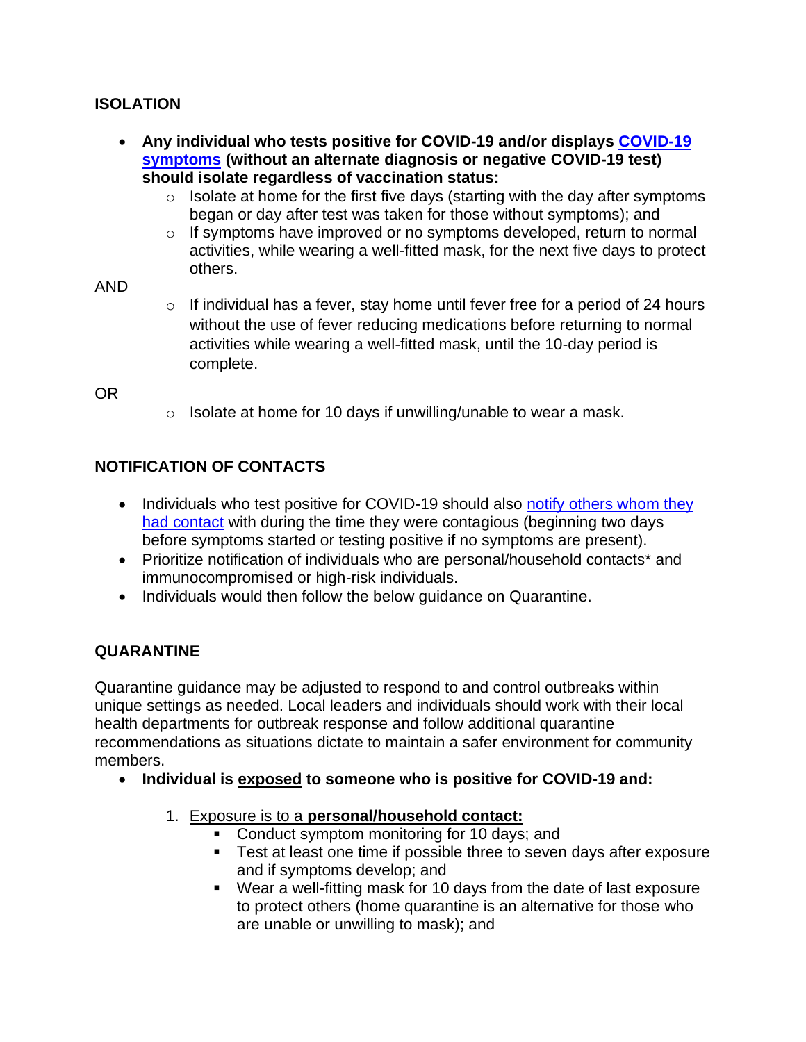### **ISOLATION**

- **Any individual who tests positive for COVID-19 and/or displays [COVID-19](https://www.cdc.gov/coronavirus/2019-ncov/symptoms-testing/symptoms.html)  [symptoms](https://www.cdc.gov/coronavirus/2019-ncov/symptoms-testing/symptoms.html) (without an alternate diagnosis or negative COVID-19 test) should isolate regardless of vaccination status:**
	- $\circ$  Isolate at home for the first five days (starting with the day after symptoms began or day after test was taken for those without symptoms); and
	- o If symptoms have improved or no symptoms developed, return to normal activities, while wearing a well-fitted mask, for the next five days to protect others.

#### AND

 $\circ$  If individual has a fever, stay home until fever free for a period of 24 hours without the use of fever reducing medications before returning to normal activities while wearing a well-fitted mask, until the 10-day period is complete.

OR

 $\circ$  Isolate at home for 10 days if unwilling/unable to wear a mask.

# **NOTIFICATION OF CONTACTS**

- Individuals who test positive for COVID-19 should also notify others whom they [had contact](https://www.cdc.gov/coronavirus/2019-ncov/daily-life-coping/tell-your-contacts.html) with during the time they were contagious (beginning two days before symptoms started or testing positive if no symptoms are present).
- Prioritize notification of individuals who are personal/household contacts\* and immunocompromised or high-risk individuals.
- Individuals would then follow the below guidance on Quarantine.

## **QUARANTINE**

Quarantine guidance may be adjusted to respond to and control outbreaks within unique settings as needed. Local leaders and individuals should work with their local health departments for outbreak response and follow additional quarantine recommendations as situations dictate to maintain a safer environment for community members.

- **Individual is exposed to someone who is positive for COVID-19 and:**
	- 1. Exposure is to a **personal/household contact:**
		- Conduct symptom monitoring for 10 days; and
		- Test at least one time if possible three to seven days after exposure and if symptoms develop; and
		- Wear a well-fitting mask for 10 days from the date of last exposure to protect others (home quarantine is an alternative for those who are unable or unwilling to mask); and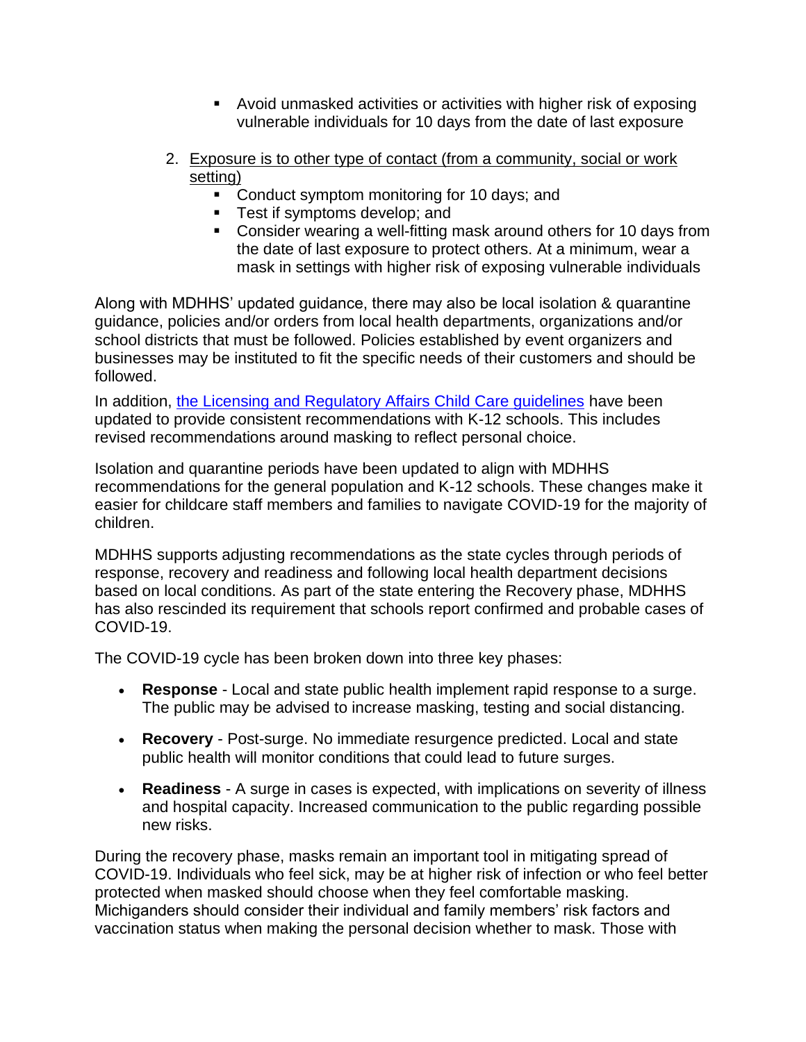- Avoid unmasked activities or activities with higher risk of exposing vulnerable individuals for 10 days from the date of last exposure
- 2. Exposure is to other type of contact (from a community, social or work setting)
	- Conduct symptom monitoring for 10 days; and
	- Test if symptoms develop; and
	- Consider wearing a well-fitting mask around others for 10 days from the date of last exposure to protect others. At a minimum, wear a mask in settings with higher risk of exposing vulnerable individuals

Along with MDHHS' updated guidance, there may also be local isolation & quarantine guidance, policies and/or orders from local health departments, organizations and/or school districts that must be followed. Policies established by event organizers and businesses may be instituted to fit the specific needs of their customers and should be followed.

In addition, [the Licensing and Regulatory Affairs Child Care guidelines](https://www.michigan.gov/documents/lara/Child_Care_Guidelines_-Updated_03.11.22FINAL_749779_7.pdf) have been updated to provide consistent recommendations with K-12 schools. This includes revised recommendations around masking to reflect personal choice.

Isolation and quarantine periods have been updated to align with MDHHS recommendations for the general population and K-12 schools. These changes make it easier for childcare staff members and families to navigate COVID-19 for the majority of children.

MDHHS supports adjusting recommendations as the state cycles through periods of response, recovery and readiness and following local health department decisions based on local conditions. As part of the state entering the Recovery phase, MDHHS has also rescinded its requirement that schools report confirmed and probable cases of COVID-19.

The COVID-19 cycle has been broken down into three key phases:

- **Response** Local and state public health implement rapid response to a surge. The public may be advised to increase masking, testing and social distancing.
- **Recovery** Post-surge. No immediate resurgence predicted. Local and state public health will monitor conditions that could lead to future surges.
- **Readiness** A surge in cases is expected, with implications on severity of illness and hospital capacity. Increased communication to the public regarding possible new risks.

During the recovery phase, masks remain an important tool in mitigating spread of COVID-19. Individuals who feel sick, may be at higher risk of infection or who feel better protected when masked should choose when they feel comfortable masking. Michiganders should consider their individual and family members' risk factors and vaccination status when making the personal decision whether to mask. Those with